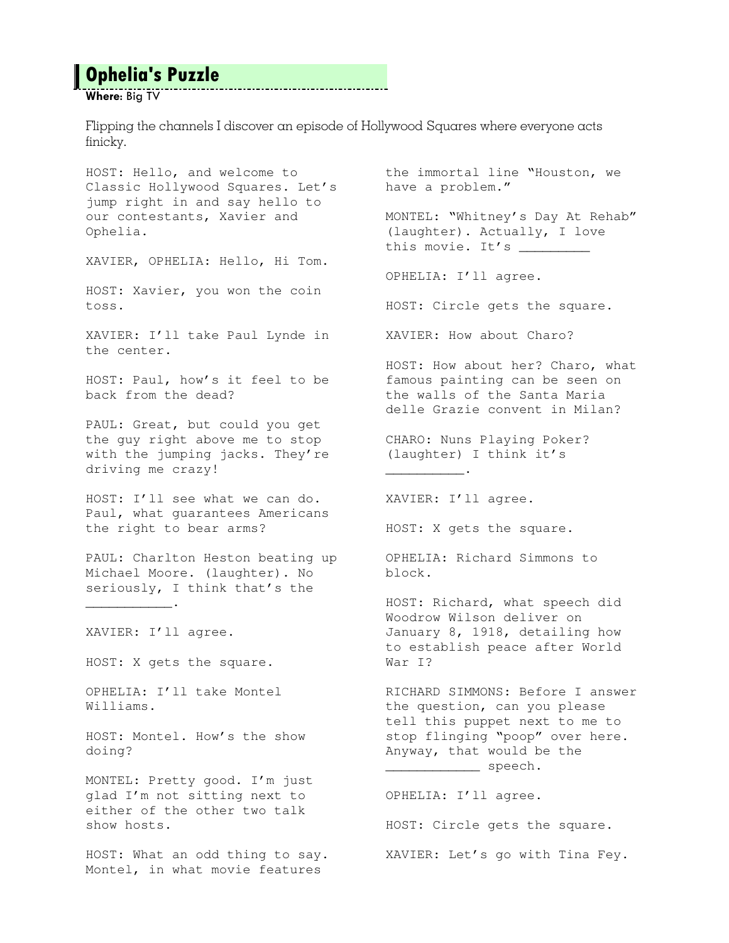## **Ophelia's Puzzle**

Where: Big TV

Flipping the channels I discover an episode of Hollywood Squares where everyone acts finicky.

\_.\_.\_.\_.\_.\_.\_.\_.\_.\_.\_.\_.\_.\_.\_.\_.\_

HOST: Hello, and welcome to Classic Hollywood Squares. Let's jump right in and say hello to our contestants, Xavier and Ophelia.

XAVIER, OPHELIA: Hello, Hi Tom.

HOST: Xavier, you won the coin toss.

XAVIER: I'll take Paul Lynde in the center.

HOST: Paul, how's it feel to be back from the dead?

PAUL: Great, but could you get the guy right above me to stop with the jumping jacks. They're driving me crazy!

HOST: I'll see what we can do. Paul, what guarantees Americans the right to bear arms?

PAUL: Charlton Heston beating up Michael Moore. (laughter). No seriously, I think that's the

XAVIER: I'll agree.

 $\overline{\phantom{a}}$  .  $\overline{\phantom{a}}$  .

HOST: X gets the square.

OPHELIA: I'll take Montel Williams.

HOST: Montel. How's the show doing?

MONTEL: Pretty good. I'm just glad I'm not sitting next to either of the other two talk show hosts.

HOST: What an odd thing to say. Montel, in what movie features

the immortal line "Houston, we have a problem."

MONTEL: "Whitney's Day At Rehab" (laughter). Actually, I love this movie. It's \_\_\_\_\_\_\_\_\_\_

OPHELIA: I'll agree.

HOST: Circle gets the square.

XAVIER: How about Charo?

HOST: How about her? Charo, what famous painting can be seen on the walls of the Santa Maria delle Grazie convent in Milan?

CHARO: Nuns Playing Poker? (laughter) I think it's

XAVIER: I'll agree.

\_\_\_\_\_\_\_\_\_\_.

HOST: X gets the square.

OPHELIA: Richard Simmons to block.

HOST: Richard, what speech did Woodrow Wilson deliver on January 8, 1918, detailing how to establish peace after World War I?

RICHARD SIMMONS: Before I answer the question, can you please tell this puppet next to me to stop flinging "poop" over here. Anyway, that would be the \_\_\_\_\_\_\_\_\_\_\_\_\_\_\_\_\_ speech.

OPHELIA: I'll agree.

HOST: Circle gets the square. XAVIER: Let's go with Tina Fey.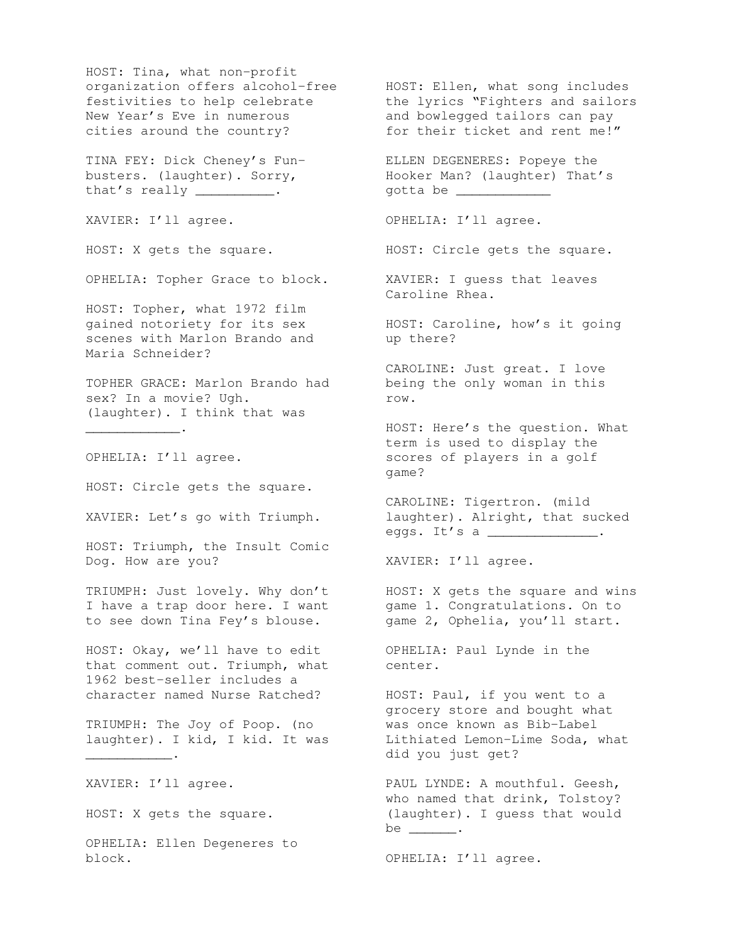HOST: Tina, what non-profit organization offers alcohol-free festivities to help celebrate New Year's Eve in numerous festivities to  $new_{r}$  .<br>New Year's Eve in numerous<br> $1 + k_0$  country?

TINA FEY: Dick Cheney's Funbusters. (laughter). Sorry, that's really  $\frac{1}{1}$ .

XAVIER: I'll agree.

HOST: X gets the square.

OPHELIA: Topher Grace to block.

HOST: Topher, what 1972 film gained notoriety for its sex scenes with Marlon Brando and Maria Schneider?

TOPHER GRACE: Marlon Brando had sex? In a movie? Ugh. (laughter). I think that was

OPHELIA: I'll agree.

 $\overline{\phantom{a}}$  .  $\overline{\phantom{a}}$ 

HOST: Circle gets the square.

XAVIER: Let's go with Triumph.

HOST: Triumph, the Insult Comic Dog. How are you?

TRIUMPH: Just lovely. Why don't I have a trap door here. I want to see down Tina Fey's blouse.

HOST: Okay, we'll have to edit that comment out. Triumph, what 1962 best-seller includes a character named Nurse Ratched?

TRIUMPH: The Joy of Poop. (no laughter). I kid, I kid. It was

XAVIER: I'll agree.

 $\overline{\phantom{a}}$  .

HOST: X gets the square.

OPHELIA: Ellen Degeneres to block.

HOST: Ellen, what song includes the lyrics "Fighters and sailors and bowlegged tailors can pay for their ticket and rent me!"

ELLEN DEGENERES: Popeye the Hooker Man? (laughter) That's gotta be \_\_\_\_\_\_\_\_\_\_\_\_

OPHELIA: I'll agree.

HOST: Circle gets the square.

XAVIER: I guess that leaves Caroline Rhea.

HOST: Caroline, how's it going up there?

CAROLINE: Just great. I love being the only woman in this row.

HOST: Here's the question. What term is used to display the scores of players in a golf game?

CAROLINE: Tigertron. (mild laughter). Alright, that sucked eggs. It's a \_\_\_\_\_\_\_\_\_\_\_\_\_\_.

XAVIER: I'll agree.

HOST: X gets the square and wins game 1. Congratulations. On to game 2, Ophelia, you'll start.

OPHELIA: Paul Lynde in the center.

HOST: Paul, if you went to a grocery store and bought what was once known as Bib-Label Lithiated Lemon-Lime Soda, what did you just get?

PAUL LYNDE: A mouthful. Geesh, who named that drink, Tolstoy? (laughter). I guess that would be \_\_\_\_\_\_\_.

OPHELIA: I'll agree.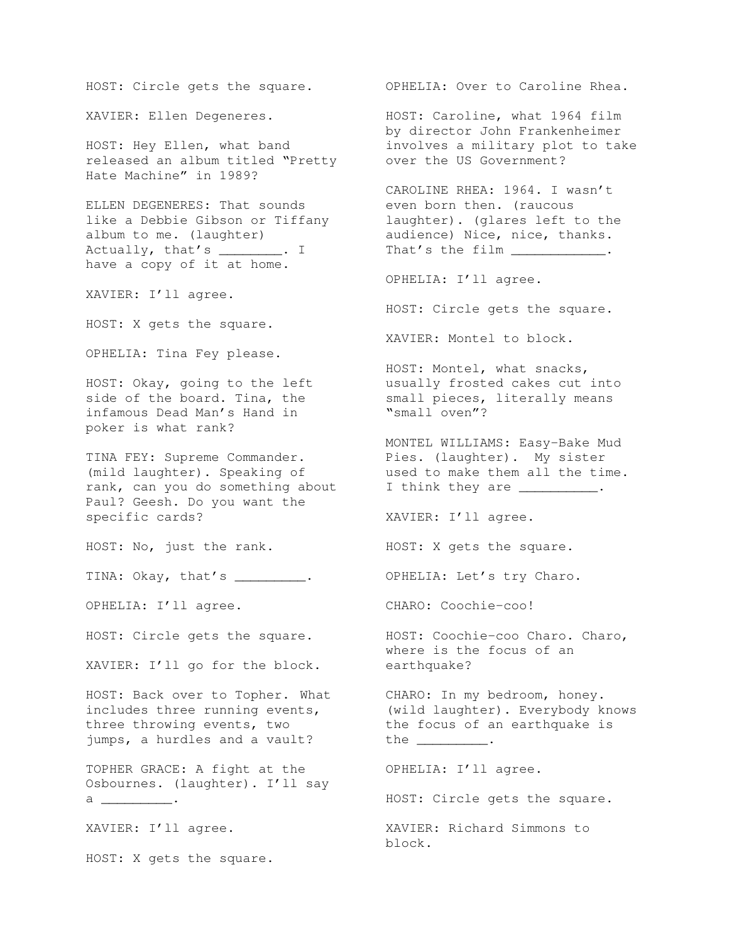HOST: Circle gets the square.

XAVIER: Ellen Degeneres.

HOST: Hey Ellen, what band released an album titled "Pretty Hate Machine" in 1989?

ELLEN DEGENERES: That sounds like a Debbie Gibson or Tiffany album to me. (laughter) Actually, that's \_\_\_\_\_\_\_. I have a copy of it at home.

XAVIER: I'll agree.

HOST: X gets the square.

OPHELIA: Tina Fey please.

HOST: Okay, going to the left side of the board. Tina, the infamous Dead Man's Hand in poker is what rank?

TINA FEY: Supreme Commander. (mild laughter). Speaking of rank, can you do something about Paul? Geesh. Do you want the specific cards?

HOST: No, just the rank.

TINA: Okay, that's \_\_\_\_\_\_\_\_\_.

OPHELIA: I'll agree.

XAVIER: I'll go for the block.

HOST: Back over to Topher. What includes three running events, three throwing events, two jumps, a hurdles and a vault?

TOPHER GRACE: A fight at the Osbournes. (laughter). I'll say a \_\_\_\_\_\_\_\_\_\_\_\_\_\_\_.

XAVIER: I'll agree.

HOST: X gets the square.

OPHELIA: Over to Caroline Rhea.

HOST: Caroline, what 1964 film by director John Frankenheimer involves a military plot to take over the US Government?

CAROLINE RHEA: 1964. I wasn't even born then. (raucous laughter). (glares left to the audience) Nice, nice, thanks. That's the film \_\_\_\_\_\_\_\_\_\_\_.

OPHELIA: I'll agree.

HOST: Circle gets the square.

XAVIER: Montel to block.

HOST: Montel, what snacks, usually frosted cakes cut into small pieces, literally means "small oven"?

MONTEL WILLIAMS: Easy-Bake Mud Pies. (laughter). My sister used to make them all the time. I think they are \_\_\_\_\_\_\_\_\_\_.

XAVIER: I'll agree.

HOST: X gets the square.

OPHELIA: Let's try Charo.

CHARO: Coochie-coo!

HOST: Circle gets the square. HOST: Coochie-coo Charo. Charo, where is the focus of an earthquake?

> CHARO: In my bedroom, honey. (wild laughter). Everybody knows the focus of an earthquake is the \_\_\_\_\_\_\_\_\_.

> > OPHELIA: I'll agree.

HOST: Circle gets the square.

XAVIER: Richard Simmons to block.